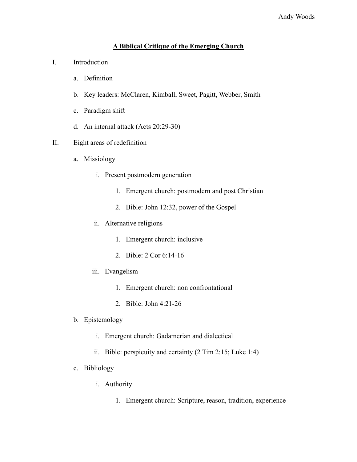## **A Biblical Critique of the Emerging Church**

- I. Introduction
	- a. Definition
	- b. Key leaders: McClaren, Kimball, Sweet, Pagitt, Webber, Smith
	- c. Paradigm shift
	- d. An internal attack (Acts 20:29-30)
- II. Eight areas of redefinition
	- a. Missiology
		- i. Present postmodern generation
			- 1. Emergent church: postmodern and post Christian
			- 2. Bible: John 12:32, power of the Gospel
		- ii. Alternative religions
			- 1. Emergent church: inclusive
			- 2. Bible: 2 Cor 6:14-16
		- iii. Evangelism
			- 1. Emergent church: non confrontational
			- 2. Bible: John 4:21-26
	- b. Epistemology
		- i. Emergent church: Gadamerian and dialectical
		- ii. Bible: perspicuity and certainty (2 Tim 2:15; Luke 1:4)
	- c. Bibliology
		- i. Authority
			- 1. Emergent church: Scripture, reason, tradition, experience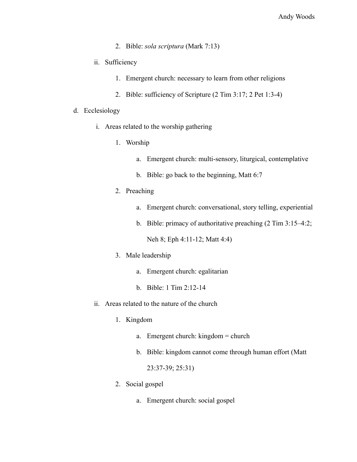- 2. Bible: *sola scriptura* (Mark 7:13)
- ii. Sufficiency
	- 1. Emergent church: necessary to learn from other religions
	- 2. Bible: sufficiency of Scripture (2 Tim 3:17; 2 Pet 1:3-4)

## d. Ecclesiology

- i. Areas related to the worship gathering
	- 1. Worship
		- a. Emergent church: multi-sensory, liturgical, contemplative
		- b. Bible: go back to the beginning, Matt 6:7
	- 2. Preaching
		- a. Emergent church: conversational, story telling, experiential
		- b. Bible: primacy of authoritative preaching (2 Tim 3:15–4:2;

Neh 8; Eph 4:11-12; Matt 4:4)

- 3. Male leadership
	- a. Emergent church: egalitarian
	- b. Bible: 1 Tim 2:12-14
- ii. Areas related to the nature of the church
	- 1. Kingdom
		- a. Emergent church: kingdom = church
		- b. Bible: kingdom cannot come through human effort (Matt

23:37-39; 25:31)

- 2. Social gospel
	- a. Emergent church: social gospel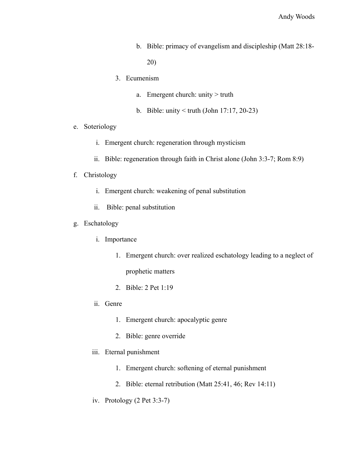b. Bible: primacy of evangelism and discipleship (Matt 28:18-

20)

- 3. Ecumenism
	- a. Emergent church: unity > truth
	- b. Bible: unity < truth (John 17:17, 20-23)
- e. Soteriology
	- i. Emergent church: regeneration through mysticism
	- ii. Bible: regeneration through faith in Christ alone (John 3:3-7; Rom 8:9)
- f. Christology
	- i. Emergent church: weakening of penal substitution
	- ii. Bible: penal substitution
- g. Eschatology
	- i. Importance
		- 1. Emergent church: over realized eschatology leading to a neglect of

prophetic matters

- 2. Bible: 2 Pet 1:19
- ii. Genre
	- 1. Emergent church: apocalyptic genre
	- 2. Bible: genre override
- iii. Eternal punishment
	- 1. Emergent church: softening of eternal punishment
	- 2. Bible: eternal retribution (Matt 25:41, 46; Rev 14:11)
- iv. Protology (2 Pet 3:3-7)